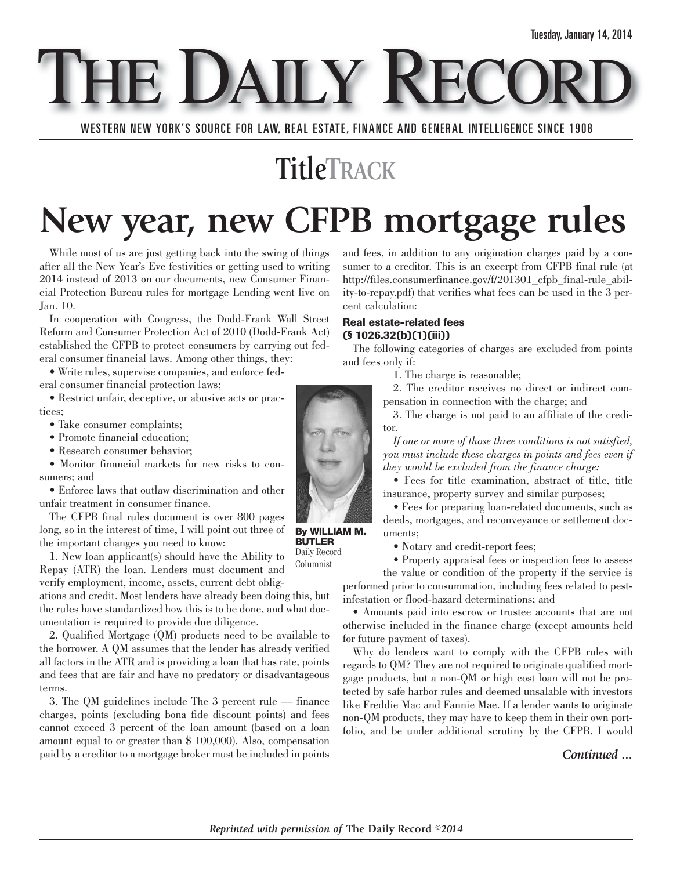THE DAILY

WESTERN NEW YORK'S SOURCE FOR LAW, REAL ESTATE, FINANCE AND GENERAL INTELLIGENCE SINCE 1908

### **TitleTRACK**

## **New year, new CFPB mortgage rules**

While most of us are just getting back into the swing of things after all the New Year's Eve festivities or getting used to writing 2014 instead of 2013 on our documents, new Consumer Financial Protection Bureau rules for mortgage Lending went live on Jan. 10.

In cooperation with Congress, the Dodd-Frank Wall Street Reform and Consumer Protection Act of 2010 (Dodd-Frank Act) established the CFPB to protect consumers by carrying out federal consumer financial laws. Among other things, they:

• Write rules, supervise companies, and enforce federal consumer financial protection laws;

• Restrict unfair, deceptive, or abusive acts or practices;

- Take consumer complaints;
- Promote financial education;
- Research consumer behavior;

• Monitor financial markets for new risks to consumers; and

• Enforce laws that outlaw discrimination and other unfair treatment in consumer finance.

The CFPB final rules document is over 800 pages long, so in the interest of time, I will point out three of the important changes you need to know:

1. New loan applicant(s) should have the Ability to Repay (ATR) the loan. Lenders must document and verify employment, income, assets, current debt oblig-Columnist

ations and credit. Most lenders have already been doing this, but the rules have standardized how this is to be done, and what documentation is required to provide due diligence.

2. Qualified Mortgage (QM) products need to be available to the borrower. A QM assumes that the lender has already verified all factors in the ATR and is providing a loan that has rate, points and fees that are fair and have no predatory or disadvantageous terms.

3. The QM guidelines include The 3 percent rule — finance charges, points (excluding bona fide discount points) and fees cannot exceed 3 percent of the loan amount (based on a loan amount equal to or greater than \$ 100,000). Also, compensation paid by a creditor to a mortgage broker must be included in points and fees, in addition to any origination charges paid by a consumer to a creditor. This is an excerpt from CFPB final rule (at http://files.consumerfinance.gov/f/201301\_cfpb\_final-rule\_ability-to-repay.pdf) that verifies what fees can be used in the 3 percent calculation:

#### **Real estate-related fees (§ 1026.32(b)(1)(iii))**

The following categories of charges are excluded from points and fees only if:

1. The charge is reasonable;

2. The creditor receives no direct or indirect compensation in connection with the charge; and

3. The charge is not paid to an affiliate of the creditor.

*If one or more of those three conditions is not satisfied, you must include these charges in points and fees even if they would be excluded from the finance charge:*

• Fees for title examination, abstract of title, title insurance, property survey and similar purposes;

• Fees for preparing loan-related documents, such as deeds, mortgages, and reconveyance or settlement documents;

• Notary and credit-report fees;

• Property appraisal fees or inspection fees to assess

the value or condition of the property if the service is performed prior to consummation, including fees related to pestinfestation or flood-hazard determinations; and

• Amounts paid into escrow or trustee accounts that are not otherwise included in the finance charge (except amounts held for future payment of taxes).

Why do lenders want to comply with the CFPB rules with regards to QM? They are not required to originate qualified mortgage products, but a non-QM or high cost loan will not be protected by safe harbor rules and deemed unsalable with investors like Freddie Mac and Fannie Mae. If a lender wants to originate non-QM products, they may have to keep them in their own portfolio, and be under additional scrutiny by the CFPB. I would

*Continued ...*

**By WILLIAM M. BUTLER** Daily Record

*Reprinted with permission of* **The Daily Record** *©2014*